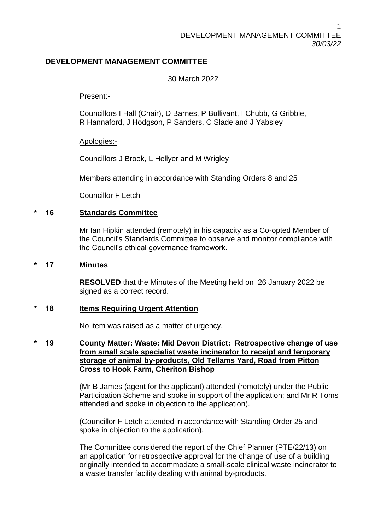# **DEVELOPMENT MANAGEMENT COMMITTEE**

30 March 2022

Present:-

Councillors I Hall (Chair), D Barnes, P Bullivant, I Chubb, G Gribble, R Hannaford, J Hodgson, P Sanders, C Slade and J Yabsley

Apologies:-

Councillors J Brook, L Hellyer and M Wrigley

Members attending in accordance with Standing Orders 8 and 25

Councillor F Letch

## **\* 16 Standards Committee**

Mr Ian Hipkin attended (remotely) in his capacity as a Co-opted Member of the Council's Standards Committee to observe and monitor compliance with the Council's ethical governance framework.

### **\* 17 Minutes**

**RESOLVED** that the Minutes of the Meeting held on 26 January 2022 be signed as a correct record.

### **\* 18 Items Requiring Urgent Attention**

No item was raised as a matter of urgency.

**\* 19 County Matter: Waste: Mid Devon District: Retrospective change of use from small scale specialist waste incinerator to receipt and temporary storage of animal by-products, Old Tellams Yard, Road from Pitton Cross to Hook Farm, Cheriton Bishop**

> (Mr B James (agent for the applicant) attended (remotely) under the Public Participation Scheme and spoke in support of the application; and Mr R Toms attended and spoke in objection to the application).

(Councillor F Letch attended in accordance with Standing Order 25 and spoke in objection to the application).

The Committee considered the report of the Chief Planner (PTE/22/13) on an application for retrospective approval for the change of use of a building originally intended to accommodate a small-scale clinical waste incinerator to a waste transfer facility dealing with animal by-products.